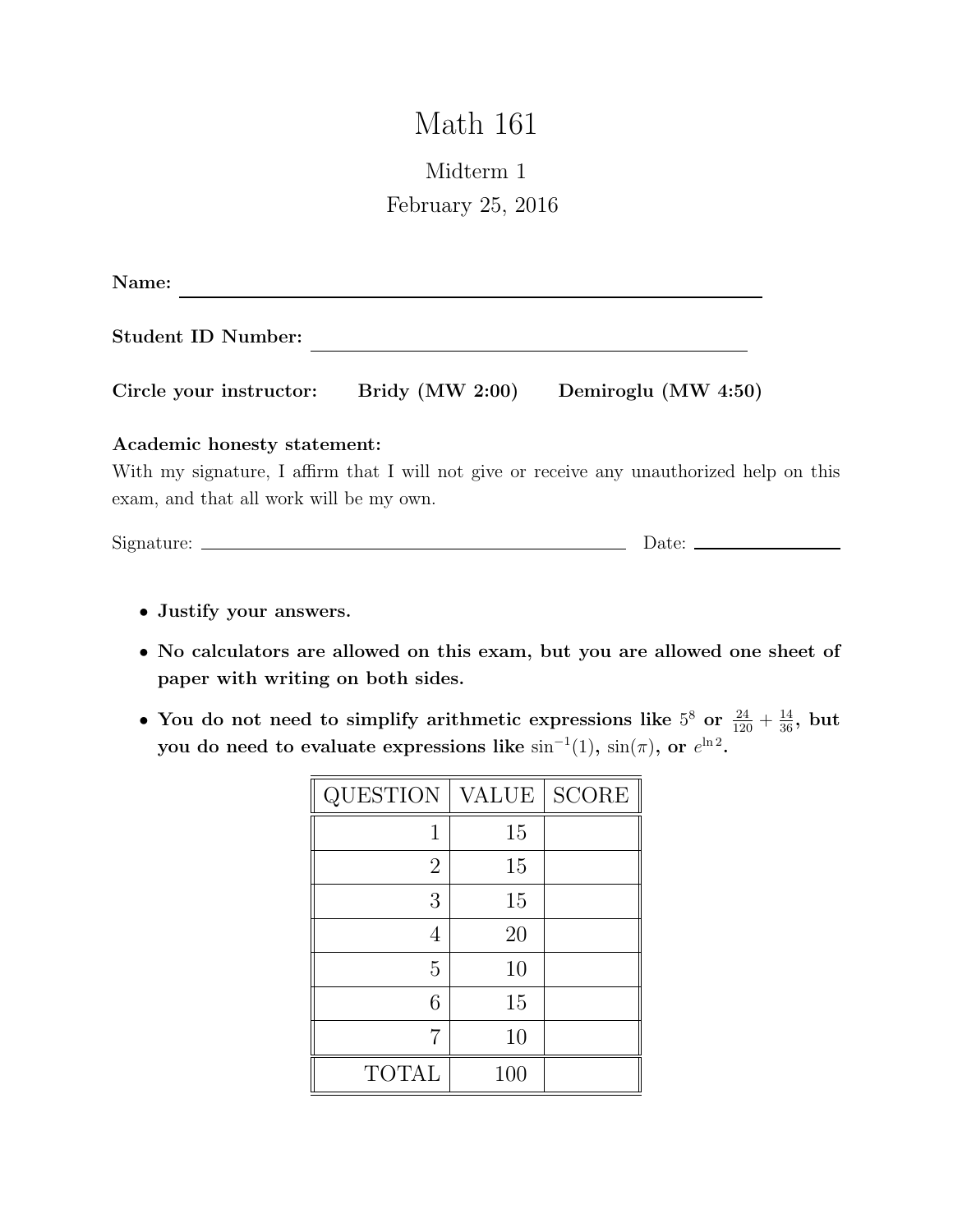# Math 161

## Midterm 1 February 25, 2016

| Name:                                   |                   |                                                                                           |  |
|-----------------------------------------|-------------------|-------------------------------------------------------------------------------------------|--|
| <b>Student ID Number:</b>               |                   |                                                                                           |  |
| Circle your instructor:                 | Bridy $(MW 2:00)$ | Demiroglu (MW 4:50)                                                                       |  |
| Academic honesty statement:             |                   |                                                                                           |  |
|                                         |                   | With my signature, I affirm that I will not give or receive any unauthorized help on this |  |
| exam, and that all work will be my own. |                   |                                                                                           |  |
|                                         |                   |                                                                                           |  |

Signature: Date:

- Justify your answers.
- No calculators are allowed on this exam, but you are allowed one sheet of paper with writing on both sides.
- You do not need to simplify arithmetic expressions like  $5^8$  or  $\frac{24}{120} + \frac{14}{36}$ , but you do need to evaluate expressions like  $\sin^{-1}(1)$ ,  $\sin(\pi)$ , or  $e^{\ln 2}$ .

| <b>QUESTION</b> | <b>VALUE</b> | <b>SCORE</b> |
|-----------------|--------------|--------------|
| 1               | 15           |              |
| $\overline{2}$  | 15           |              |
| 3               | 15           |              |
| 4               | 20           |              |
| 5               | 10           |              |
| 6               | 15           |              |
| 7               | 10           |              |
| <b>TOTAL</b>    | 100          |              |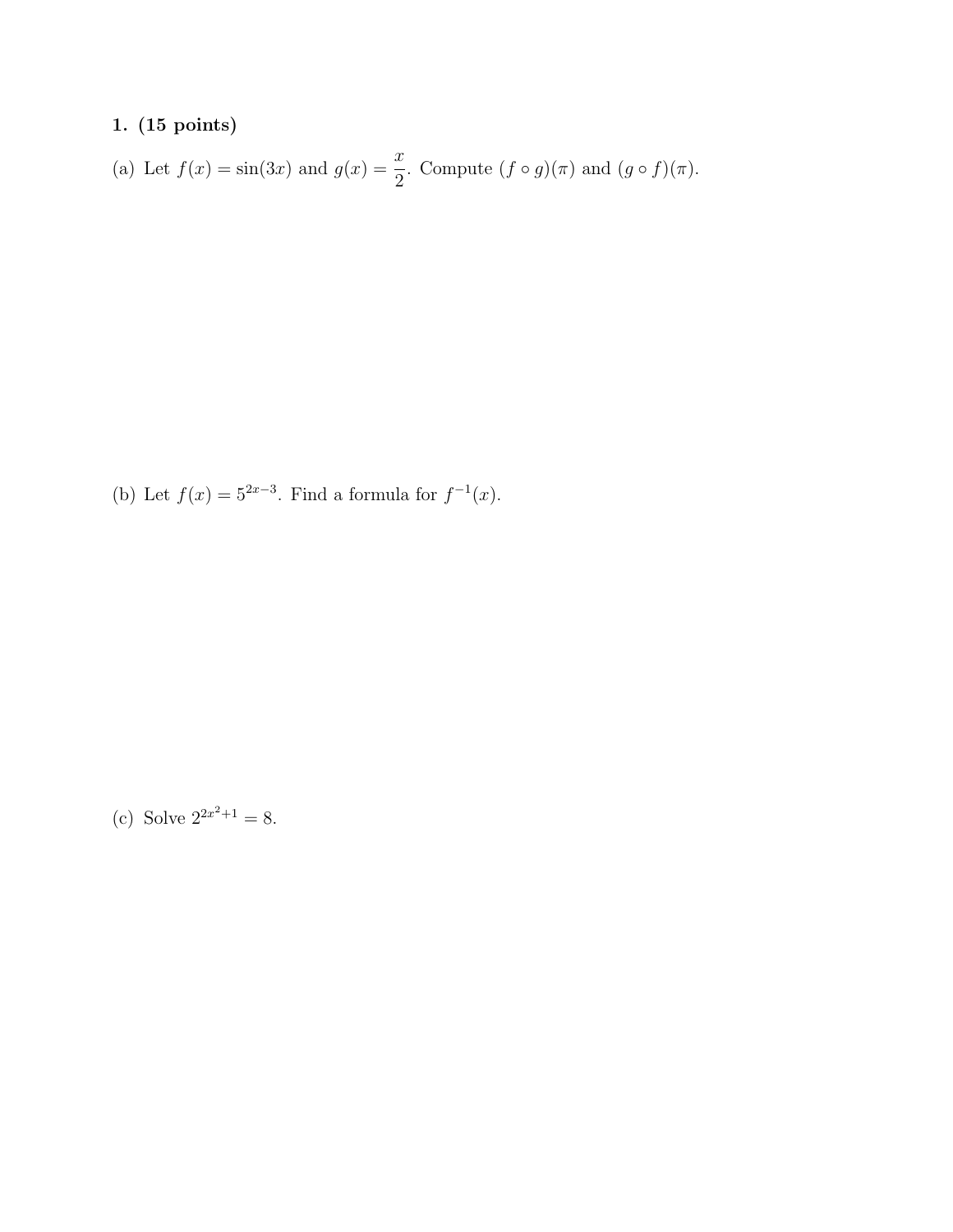(a) Let 
$$
f(x) = \sin(3x)
$$
 and  $g(x) = \frac{x}{2}$ . Compute  $(f \circ g)(\pi)$  and  $(g \circ f)(\pi)$ .

(b) Let  $f(x) = 5^{2x-3}$ . Find a formula for  $f^{-1}(x)$ .

(c) Solve  $2^{2x^2+1} = 8$ .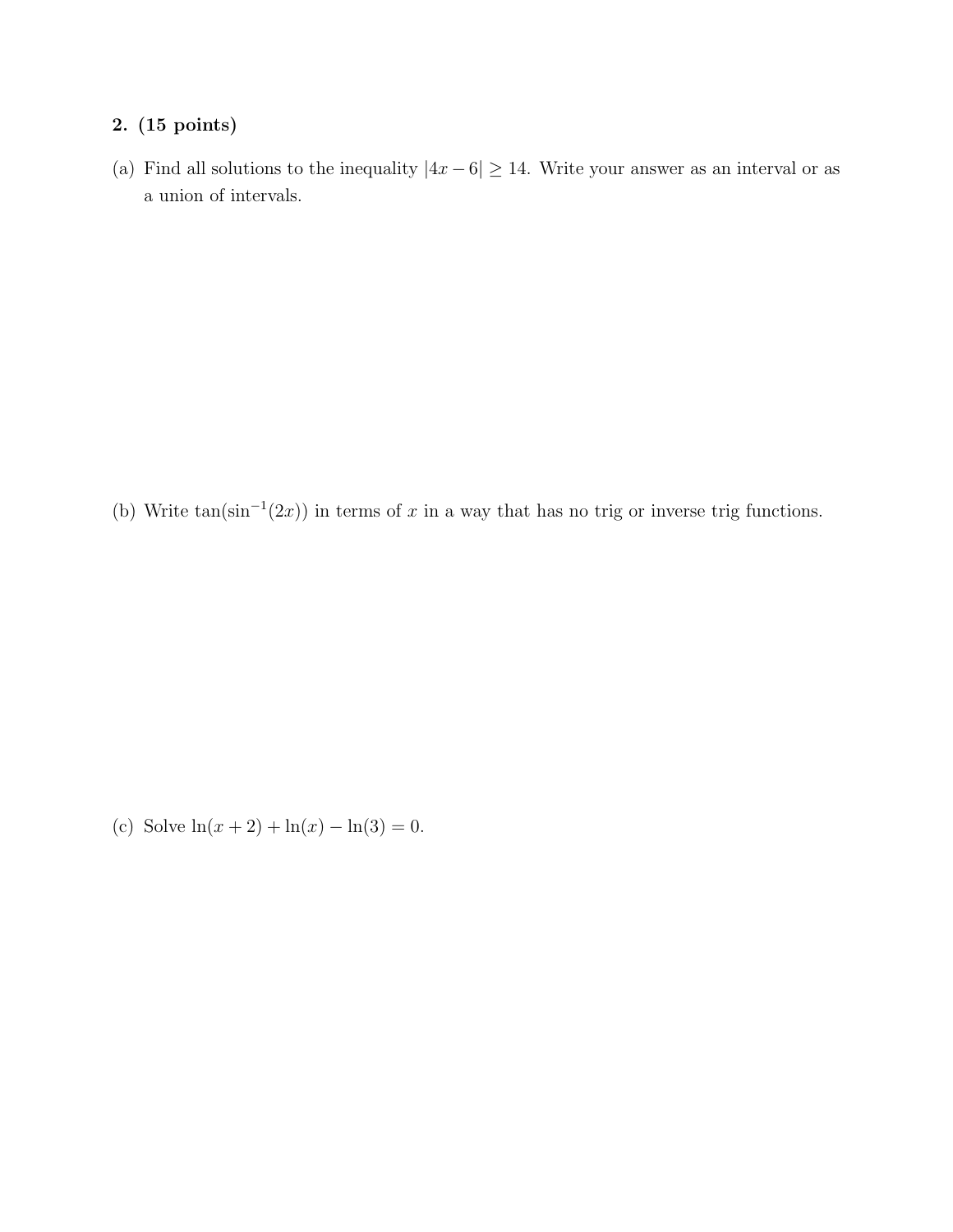(a) Find all solutions to the inequality  $|4x-6| \ge 14$ . Write your answer as an interval or as a union of intervals.

(b) Write  $tan(sin^{-1}(2x))$  in terms of x in a way that has no trig or inverse trig functions.

(c) Solve  $ln(x + 2) + ln(x) - ln(3) = 0.$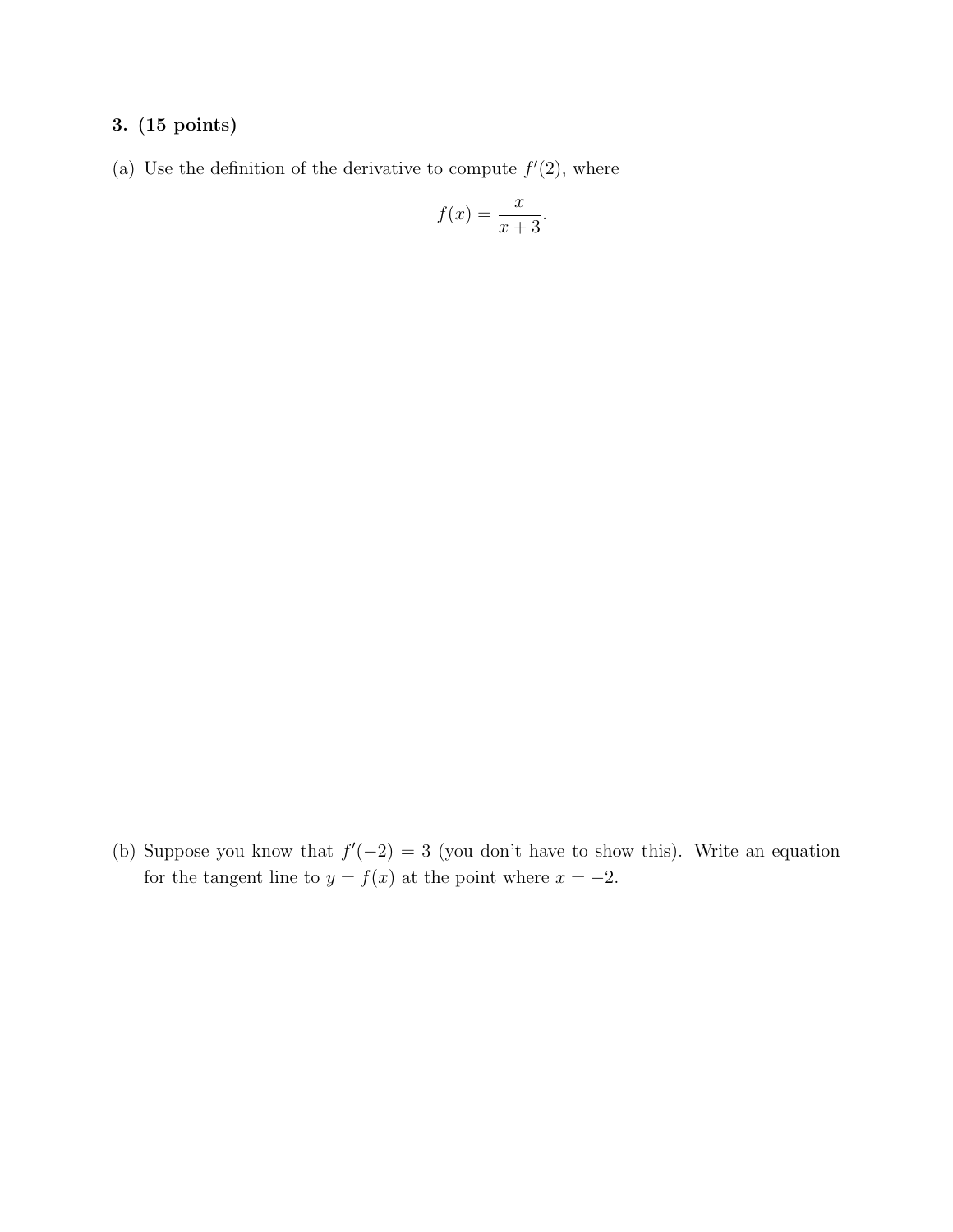(a) Use the definition of the derivative to compute  $f'(2)$ , where

$$
f(x) = \frac{x}{x+3}.
$$

(b) Suppose you know that  $f'(-2) = 3$  (you don't have to show this). Write an equation for the tangent line to  $y = f(x)$  at the point where  $x = -2$ .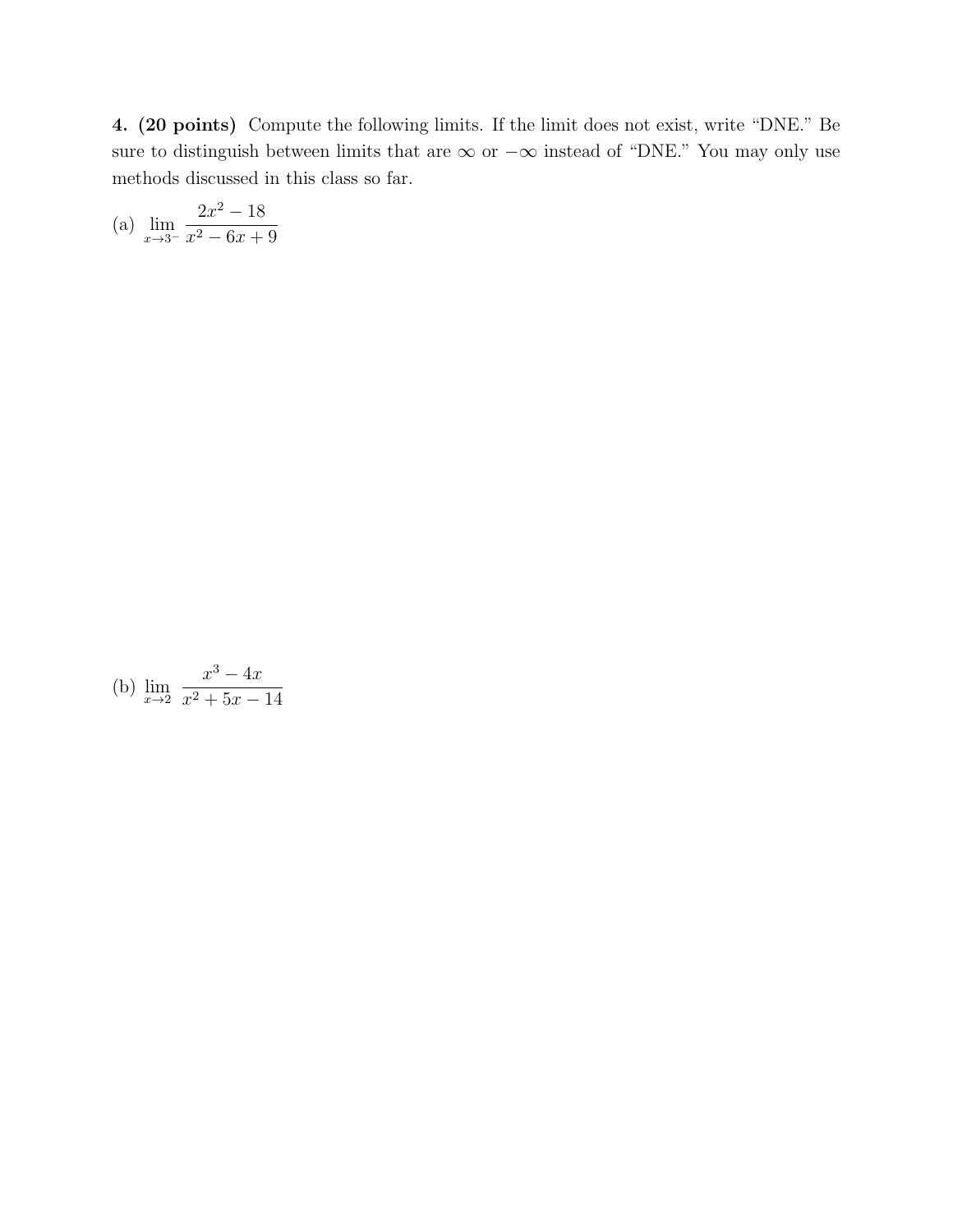4. (20 points) Compute the following limits. If the limit does not exist, write "DNE." Be sure to distinguish between limits that are  $\infty$  or  $-\infty$  instead of "DNE." You may only use methods discussed in this class so far.

(a) 
$$
\lim_{x \to 3^{-}} \frac{2x^2 - 18}{x^2 - 6x + 9}
$$

(b) 
$$
\lim_{x \to 2} \frac{x^3 - 4x}{x^2 + 5x - 14}
$$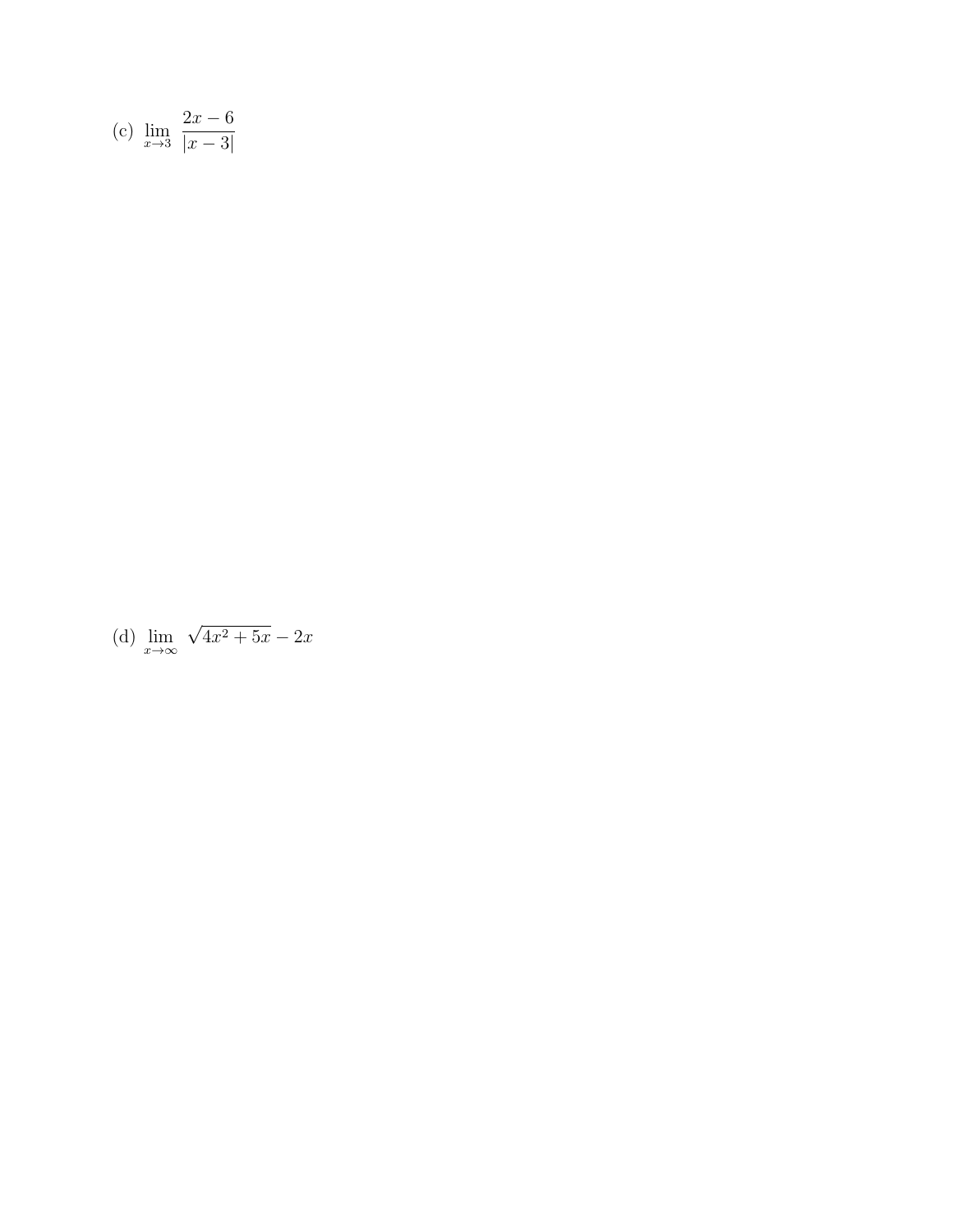(c) 
$$
\lim_{x \to 3} \frac{2x - 6}{|x - 3|}
$$

(d) 
$$
\lim_{x \to \infty} \sqrt{4x^2 + 5x} - 2x
$$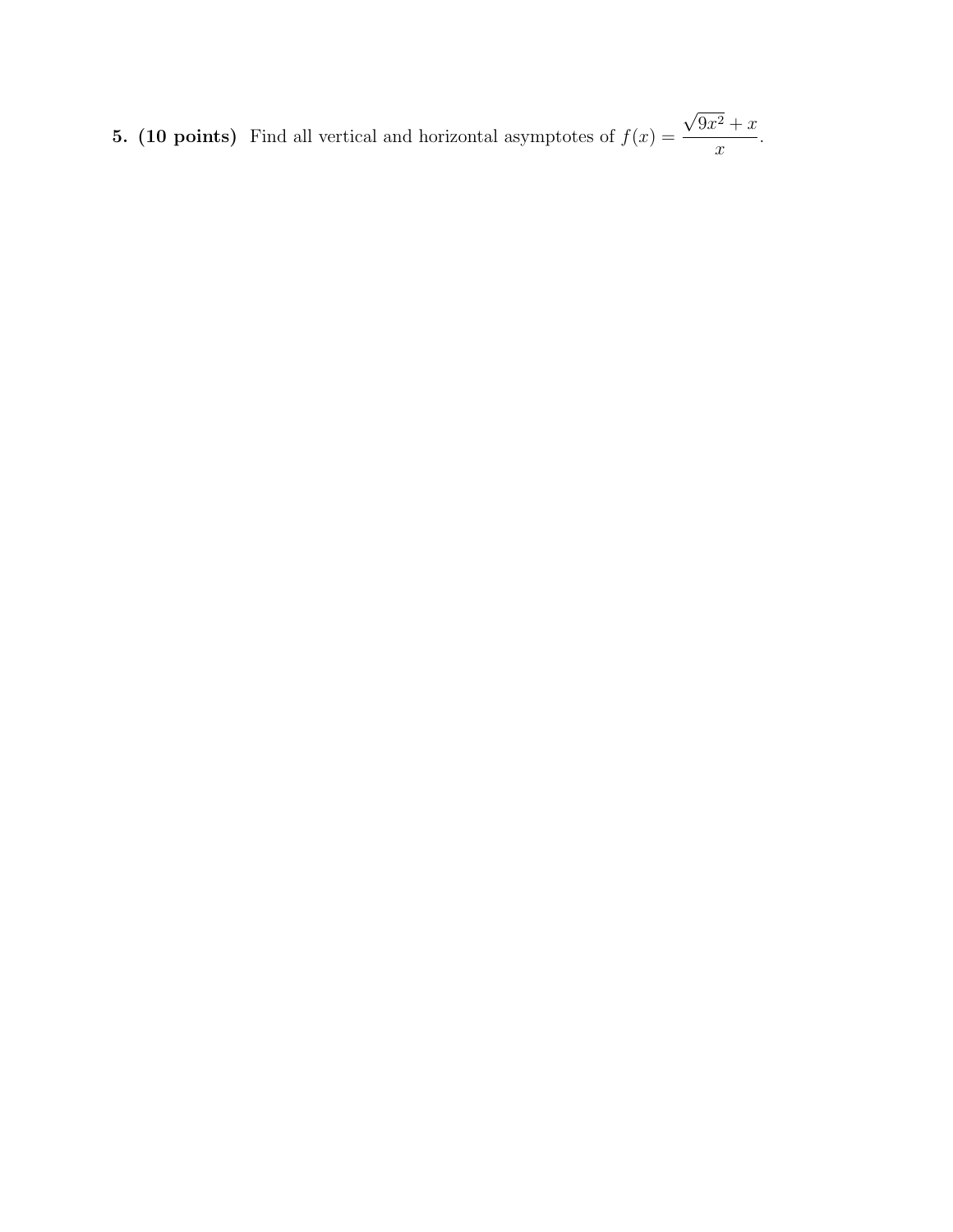5. (10 points) Find all vertical and horizontal asymptotes of  $f(x) =$ √  $9x^2+x$  $\boldsymbol{x}$ .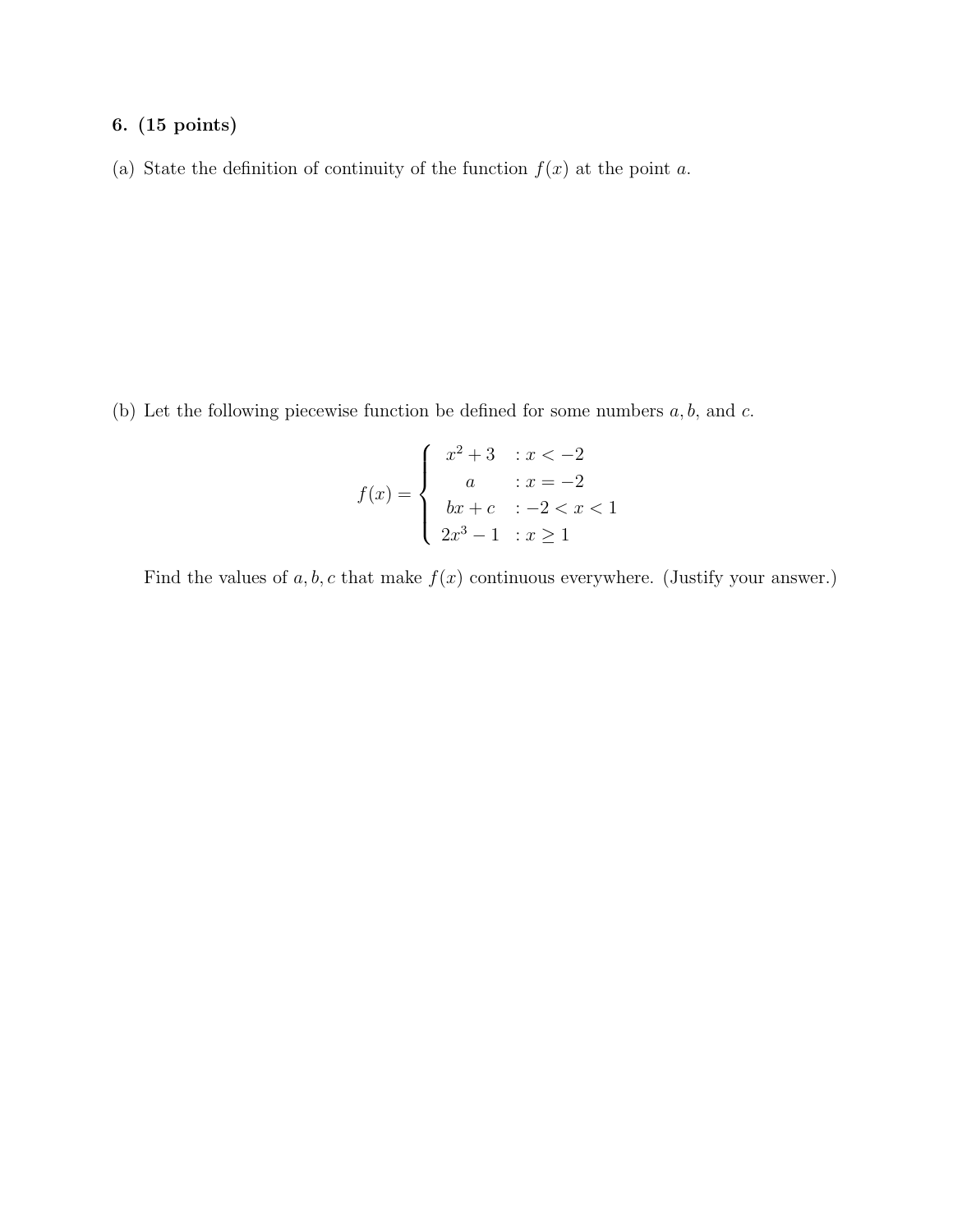(a) State the definition of continuity of the function  $f(x)$  at the point a.

(b) Let the following piecewise function be defined for some numbers  $a, b$ , and  $c$ .

$$
f(x) = \begin{cases} x^2 + 3 & : x < -2 \\ a & : x = -2 \\ bx + c & : -2 < x < 1 \\ 2x^3 - 1 & : x \ge 1 \end{cases}
$$

Find the values of  $a, b, c$  that make  $f(x)$  continuous everywhere. (Justify your answer.)